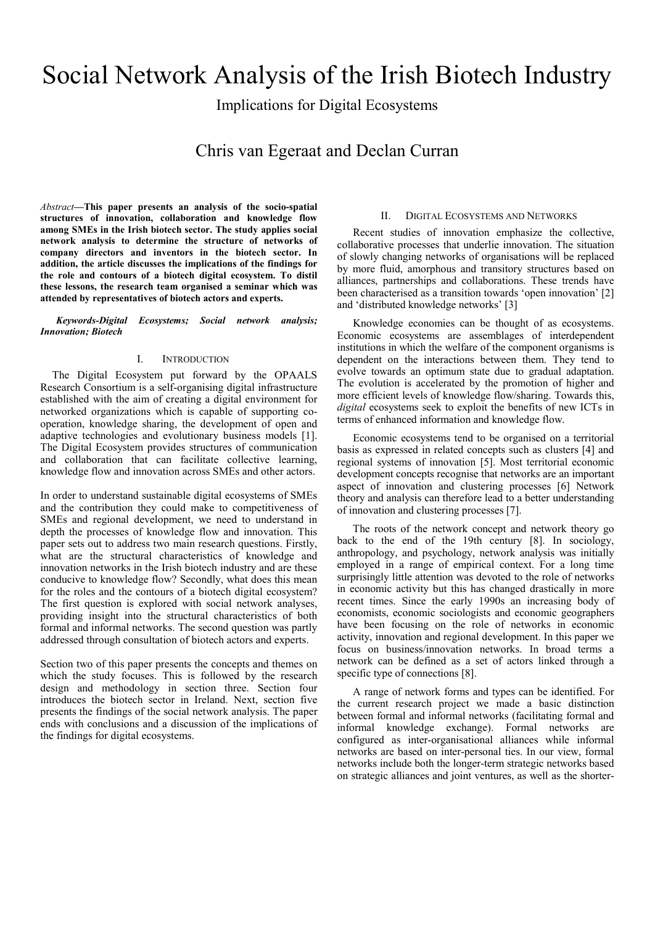# Social Network Analysis of the Irish Biotech Industry

Implications for Digital Ecosystems

## Chris van Egeraat and Declan Curran

*Abstract***—This paper presents an analysis of the socio-spatial structures of innovation, collaboration and knowledge flow among SMEs in the Irish biotech sector. The study applies social network analysis to determine the structure of networks of company directors and inventors in the biotech sector. In addition, the article discusses the implications of the findings for the role and contours of a biotech digital ecosystem. To distil these lessons, the research team organised a seminar which was attended by representatives of biotech actors and experts.**

*Keywords-Digital Ecosystems; Social network analysis; Innovation; Biotech*

#### I. INTRODUCTION

The Digital Ecosystem put forward by the OPAALS Research Consortium is a self-organising digital infrastructure established with the aim of creating a digital environment for networked organizations which is capable of supporting cooperation, knowledge sharing, the development of open and adaptive technologies and evolutionary business models [1]. The Digital Ecosystem provides structures of communication and collaboration that can facilitate collective learning, knowledge flow and innovation across SMEs and other actors.

In order to understand sustainable digital ecosystems of SMEs and the contribution they could make to competitiveness of SMEs and regional development, we need to understand in depth the processes of knowledge flow and innovation. This paper sets out to address two main research questions. Firstly, what are the structural characteristics of knowledge and innovation networks in the Irish biotech industry and are these conducive to knowledge flow? Secondly, what does this mean for the roles and the contours of a biotech digital ecosystem? The first question is explored with social network analyses, providing insight into the structural characteristics of both formal and informal networks. The second question was partly addressed through consultation of biotech actors and experts.

Section two of this paper presents the concepts and themes on which the study focuses. This is followed by the research design and methodology in section three. Section four introduces the biotech sector in Ireland. Next, section five presents the findings of the social network analysis. The paper ends with conclusions and a discussion of the implications of the findings for digital ecosystems.

#### II. DIGITAL ECOSYSTEMS AND NETWORKS

Recent studies of innovation emphasize the collective, collaborative processes that underlie innovation. The situation of slowly changing networks of organisations will be replaced by more fluid, amorphous and transitory structures based on alliances, partnerships and collaborations. These trends have been characterised as a transition towards 'open innovation' [2] and 'distributed knowledge networks' [3]

Knowledge economies can be thought of as ecosystems. Economic ecosystems are assemblages of interdependent institutions in which the welfare of the component organisms is dependent on the interactions between them. They tend to evolve towards an optimum state due to gradual adaptation. The evolution is accelerated by the promotion of higher and more efficient levels of knowledge flow/sharing. Towards this, *digital* ecosystems seek to exploit the benefits of new ICTs in terms of enhanced information and knowledge flow.

Economic ecosystems tend to be organised on a territorial basis as expressed in related concepts such as clusters [4] and regional systems of innovation [5]. Most territorial economic development concepts recognise that networks are an important aspect of innovation and clustering processes [6] Network theory and analysis can therefore lead to a better understanding of innovation and clustering processes [7].

The roots of the network concept and network theory go back to the end of the 19th century [8]. In sociology, anthropology, and psychology, network analysis was initially employed in a range of empirical context. For a long time surprisingly little attention was devoted to the role of networks in economic activity but this has changed drastically in more recent times. Since the early 1990s an increasing body of economists, economic sociologists and economic geographers have been focusing on the role of networks in economic activity, innovation and regional development. In this paper we focus on business/innovation networks. In broad terms a network can be defined as a set of actors linked through a specific type of connections [8].

A range of network forms and types can be identified. For the current research project we made a basic distinction between formal and informal networks (facilitating formal and informal knowledge exchange). Formal networks are configured as inter-organisational alliances while informal networks are based on inter-personal ties. In our view, formal networks include both the longer-term strategic networks based on strategic alliances and joint ventures, as well as the shorter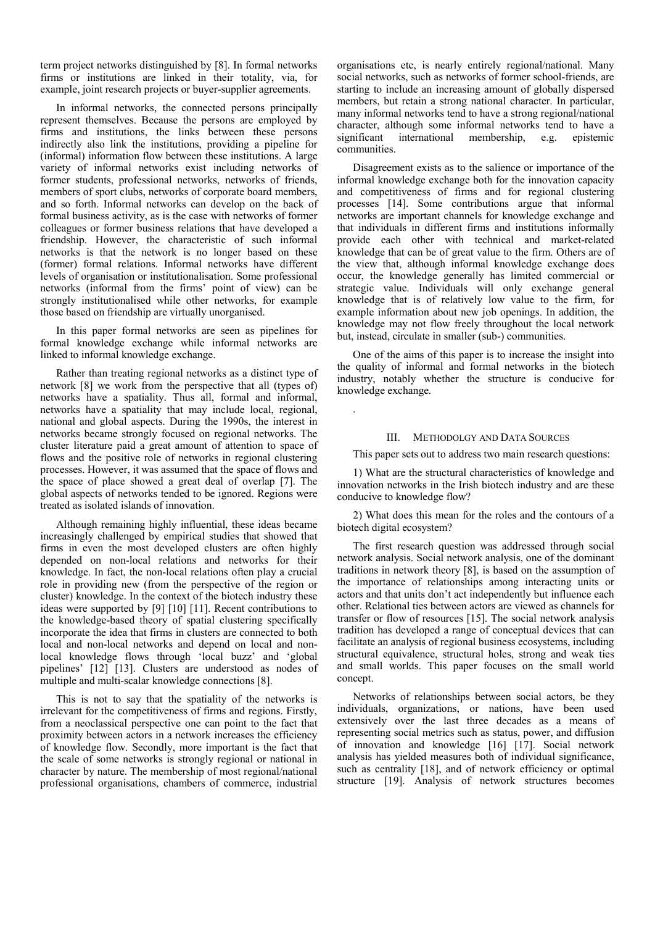term project networks distinguished by [8]. In formal networks firms or institutions are linked in their totality, via, for example, joint research projects or buyer-supplier agreements.

In informal networks, the connected persons principally represent themselves. Because the persons are employed by firms and institutions, the links between these persons indirectly also link the institutions, providing a pipeline for (informal) information flow between these institutions. A large variety of informal networks exist including networks of former students, professional networks, networks of friends, members of sport clubs, networks of corporate board members, and so forth. Informal networks can develop on the back of formal business activity, as is the case with networks of former colleagues or former business relations that have developed a friendship. However, the characteristic of such informal networks is that the network is no longer based on these (former) formal relations. Informal networks have different levels of organisation or institutionalisation. Some professional networks (informal from the firms' point of view) can be strongly institutionalised while other networks, for example those based on friendship are virtually unorganised.

In this paper formal networks are seen as pipelines for formal knowledge exchange while informal networks are linked to informal knowledge exchange.

Rather than treating regional networks as a distinct type of network [8] we work from the perspective that all (types of) networks have a spatiality. Thus all, formal and informal, networks have a spatiality that may include local, regional, national and global aspects. During the 1990s, the interest in networks became strongly focused on regional networks. The cluster literature paid a great amount of attention to space of flows and the positive role of networks in regional clustering processes. However, it was assumed that the space of flows and the space of place showed a great deal of overlap [7]. The global aspects of networks tended to be ignored. Regions were treated as isolated islands of innovation.

Although remaining highly influential, these ideas became increasingly challenged by empirical studies that showed that firms in even the most developed clusters are often highly depended on non-local relations and networks for their knowledge. In fact, the non-local relations often play a crucial role in providing new (from the perspective of the region or cluster) knowledge. In the context of the biotech industry these ideas were supported by [9] [10] [11]. Recent contributions to the knowledge-based theory of spatial clustering specifically incorporate the idea that firms in clusters are connected to both local and non-local networks and depend on local and nonlocal knowledge flows through 'local buzz' and 'global pipelines' [12] [13]. Clusters are understood as nodes of multiple and multi-scalar knowledge connections [8].

This is not to say that the spatiality of the networks is irrelevant for the competitiveness of firms and regions. Firstly, from a neoclassical perspective one can point to the fact that proximity between actors in a network increases the efficiency of knowledge flow. Secondly, more important is the fact that the scale of some networks is strongly regional or national in character by nature. The membership of most regional/national professional organisations, chambers of commerce, industrial

organisations etc, is nearly entirely regional/national. Many social networks, such as networks of former school-friends, are starting to include an increasing amount of globally dispersed members, but retain a strong national character. In particular, many informal networks tend to have a strong regional/national character, although some informal networks tend to have a significant international membership, e.g. epistemic communities.

Disagreement exists as to the salience or importance of the informal knowledge exchange both for the innovation capacity and competitiveness of firms and for regional clustering processes [14]. Some contributions argue that informal networks are important channels for knowledge exchange and that individuals in different firms and institutions informally provide each other with technical and market-related knowledge that can be of great value to the firm. Others are of the view that, although informal knowledge exchange does occur, the knowledge generally has limited commercial or strategic value. Individuals will only exchange general knowledge that is of relatively low value to the firm, for example information about new job openings. In addition, the knowledge may not flow freely throughout the local network but, instead, circulate in smaller (sub-) communities.

One of the aims of this paper is to increase the insight into the quality of informal and formal networks in the biotech industry, notably whether the structure is conducive for knowledge exchange.

#### III. METHODOLGY AND DATA SOURCES

.

This paper sets out to address two main research questions:

1) What are the structural characteristics of knowledge and innovation networks in the Irish biotech industry and are these conducive to knowledge flow?

2) What does this mean for the roles and the contours of a biotech digital ecosystem?

The first research question was addressed through social network analysis. Social network analysis, one of the dominant traditions in network theory [8], is based on the assumption of the importance of relationships among interacting units or actors and that units don't act independently but influence each other. Relational ties between actors are viewed as channels for transfer or flow of resources [15]. The social network analysis tradition has developed a range of conceptual devices that can facilitate an analysis of regional business ecosystems, including structural equivalence, structural holes, strong and weak ties and small worlds. This paper focuses on the small world concept.

Networks of relationships between social actors, be they individuals, organizations, or nations, have been used extensively over the last three decades as a means of representing social metrics such as status, power, and diffusion of innovation and knowledge [16] [17]. Social network analysis has yielded measures both of individual significance, such as centrality [18], and of network efficiency or optimal structure [19]. Analysis of network structures becomes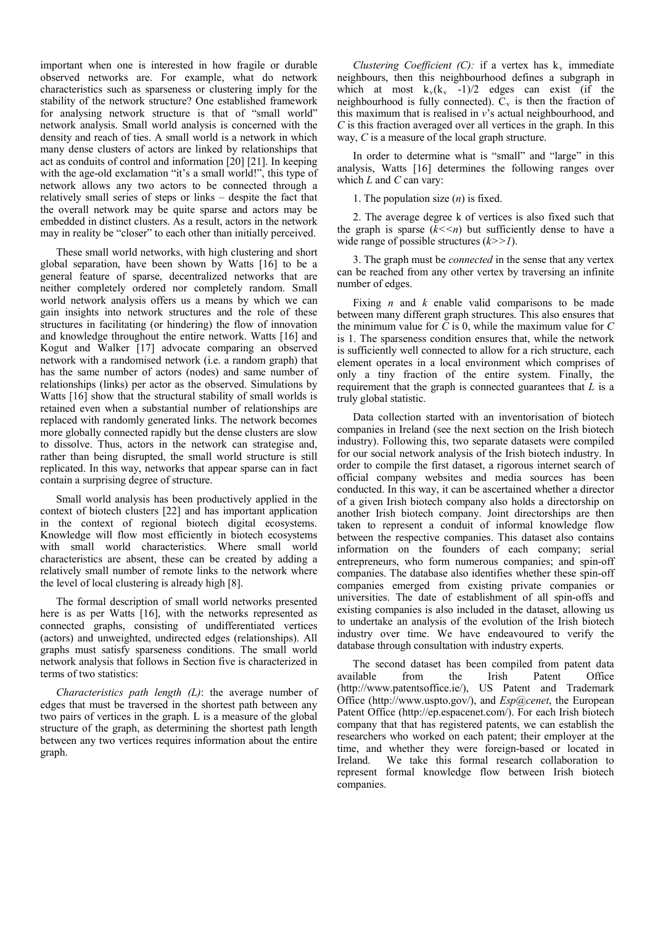important when one is interested in how fragile or durable observed networks are. For example, what do network characteristics such as sparseness or clustering imply for the stability of the network structure? One established framework for analysing network structure is that of "small world" network analysis. Small world analysis is concerned with the density and reach of ties. A small world is a network in which many dense clusters of actors are linked by relationships that act as conduits of control and information [20] [21]. In keeping with the age-old exclamation "it's a small world!", this type of network allows any two actors to be connected through a relatively small series of steps or links – despite the fact that the overall network may be quite sparse and actors may be embedded in distinct clusters. As a result, actors in the network may in reality be "closer" to each other than initially perceived.

These small world networks, with high clustering and short global separation, have been shown by Watts [16] to be a general feature of sparse, decentralized networks that are neither completely ordered nor completely random. Small world network analysis offers us a means by which we can gain insights into network structures and the role of these structures in facilitating (or hindering) the flow of innovation and knowledge throughout the entire network. Watts [16] and Kogut and Walker [17] advocate comparing an observed network with a randomised network (i.e. a random graph) that has the same number of actors (nodes) and same number of relationships (links) per actor as the observed. Simulations by Watts [16] show that the structural stability of small worlds is retained even when a substantial number of relationships are replaced with randomly generated links. The network becomes more globally connected rapidly but the dense clusters are slow to dissolve. Thus, actors in the network can strategise and, rather than being disrupted, the small world structure is still replicated. In this way, networks that appear sparse can in fact contain a surprising degree of structure.

Small world analysis has been productively applied in the context of biotech clusters [22] and has important application in the context of regional biotech digital ecosystems. Knowledge will flow most efficiently in biotech ecosystems with small world characteristics. Where small world characteristics are absent, these can be created by adding a relatively small number of remote links to the network where the level of local clustering is already high [8].

The formal description of small world networks presented here is as per Watts [16], with the networks represented as connected graphs, consisting of undifferentiated vertices (actors) and unweighted, undirected edges (relationships). All graphs must satisfy sparseness conditions. The small world network analysis that follows in Section five is characterized in terms of two statistics:

*Characteristics path length (L)*: the average number of edges that must be traversed in the shortest path between any two pairs of vertices in the graph. L is a measure of the global structure of the graph, as determining the shortest path length between any two vertices requires information about the entire graph.

*Clustering Coefficient (C):* if a vertex has  $k_v$  immediate neighbours, then this neighbourhood defines a subgraph in which at most  $k_v(k_v -1)/2$  edges can exist (if the neighbourhood is fully connected).  $C_v$  is then the fraction of this maximum that is realised in *v*'s actual neighbourhood, and *C* is this fraction averaged over all vertices in the graph. In this way, *C* is a measure of the local graph structure.

In order to determine what is "small" and "large" in this analysis, Watts [16] determines the following ranges over which *L* and *C* can vary:

1. The population size (*n*) is fixed.

2. The average degree k of vertices is also fixed such that the graph is sparse  $(k \leq n)$  but sufficiently dense to have a wide range of possible structures (*k>>1*).

3. The graph must be *connected* in the sense that any vertex can be reached from any other vertex by traversing an infinite number of edges.

Fixing *n* and *k* enable valid comparisons to be made between many different graph structures. This also ensures that the minimum value for *C* is 0, while the maximum value for *C* is 1. The sparseness condition ensures that, while the network is sufficiently well connected to allow for a rich structure, each element operates in a local environment which comprises of only a tiny fraction of the entire system. Finally, the requirement that the graph is connected guarantees that *L* is a truly global statistic.

Data collection started with an inventorisation of biotech companies in Ireland (see the next section on the Irish biotech industry). Following this, two separate datasets were compiled for our social network analysis of the Irish biotech industry. In order to compile the first dataset, a rigorous internet search of official company websites and media sources has been conducted. In this way, it can be ascertained whether a director of a given Irish biotech company also holds a directorship on another Irish biotech company. Joint directorships are then taken to represent a conduit of informal knowledge flow between the respective companies. This dataset also contains information on the founders of each company; serial entrepreneurs, who form numerous companies; and spin-off companies. The database also identifies whether these spin-off companies emerged from existing private companies or universities. The date of establishment of all spin-offs and existing companies is also included in the dataset, allowing us to undertake an analysis of the evolution of the Irish biotech industry over time. We have endeavoured to verify the database through consultation with industry experts.

The second dataset has been compiled from patent data available from the Irish Patent Office (http://www.patentsoffice.ie/), US Patent and Trademark Office (http://www.uspto.gov/), and *Esp@cenet*, the European Patent Office (http://ep.espacenet.com/). For each Irish biotech company that that has registered patents, we can establish the researchers who worked on each patent; their employer at the time, and whether they were foreign-based or located in Ireland. We take this formal research collaboration to represent formal knowledge flow between Irish biotech companies.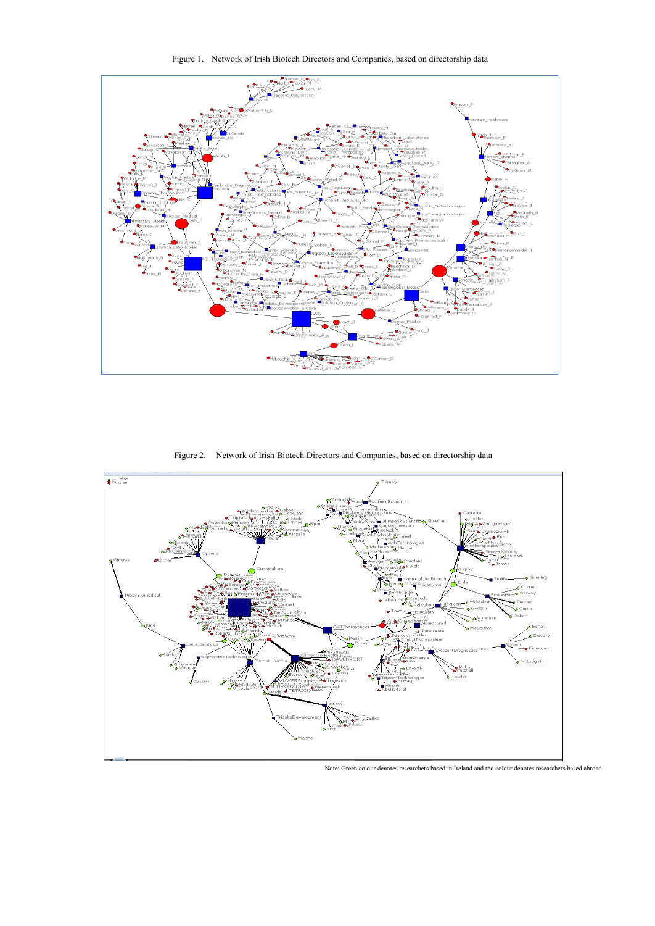

Figure 1. Network of Irish Biotech Directors and Companies, based on directorship data





Note: Green colour denotes researchers based in Ireland and red colour denotes researchers based abroad.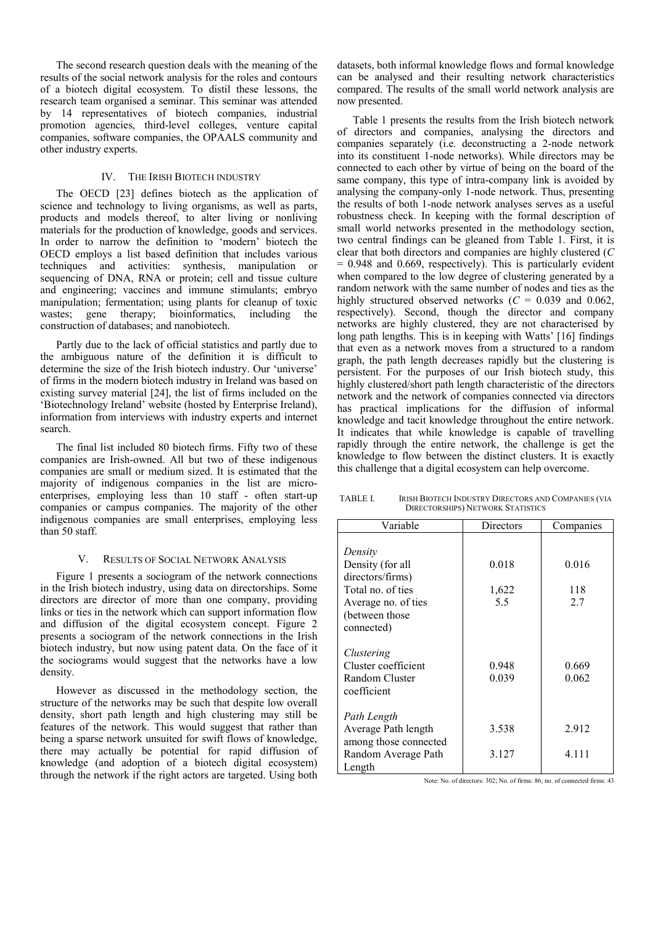The second research question deals with the meaning of the results of the social network analysis for the roles and contours of a biotech digital ecosystem. To distil these lessons, the research team organised a seminar. This seminar was attended by 14 representatives of biotech companies, industrial promotion agencies, third-level colleges, venture capital companies, software companies, the OPAALS community and other industry experts.

### IV. THE IRISH BIOTECH INDUSTRY

The OECD [23] defines biotech as the application of science and technology to living organisms, as well as parts, products and models thereof, to alter living or nonliving materials for the production of knowledge, goods and services. In order to narrow the definition to 'modern' biotech the OECD employs a list based definition that includes various techniques and activities: synthesis, manipulation or sequencing of DNA, RNA or protein; cell and tissue culture and engineering; vaccines and immune stimulants; embryo manipulation; fermentation; using plants for cleanup of toxic wastes; gene therapy; bioinformatics, including the construction of databases; and nanobiotech.

Partly due to the lack of official statistics and partly due to the ambiguous nature of the definition it is difficult to determine the size of the Irish biotech industry. Our 'universe' of firms in the modern biotech industry in Ireland was based on existing survey material [24], the list of firms included on the 'Biotechnology Ireland' website (hosted by Enterprise Ireland), information from interviews with industry experts and internet search.

The final list included 80 biotech firms. Fifty two of these companies are Irish-owned. All but two of these indigenous companies are small or medium sized. It is estimated that the majority of indigenous companies in the list are microenterprises, employing less than 10 staff - often start-up companies or campus companies. The majority of the other indigenous companies are small enterprises, employing less than 50 staff.

#### V. RESULTS OF SOCIAL NETWORK ANALYSIS

Figure 1 presents a sociogram of the network connections in the Irish biotech industry, using data on directorships. Some directors are director of more than one company, providing links or ties in the network which can support information flow and diffusion of the digital ecosystem concept. Figure 2 presents a sociogram of the network connections in the Irish biotech industry, but now using patent data. On the face of it the sociograms would suggest that the networks have a low density.

However as discussed in the methodology section, the structure of the networks may be such that despite low overall density, short path length and high clustering may still be features of the network. This would suggest that rather than being a sparse network unsuited for swift flows of knowledge, there may actually be potential for rapid diffusion of knowledge (and adoption of a biotech digital ecosystem) through the network if the right actors are targeted. Using both

datasets, both informal knowledge flows and formal knowledge can be analysed and their resulting network characteristics compared. The results of the small world network analysis are now presented.

Table 1 presents the results from the Irish biotech network of directors and companies, analysing the directors and companies separately (i.e. deconstructing a 2-node network into its constituent 1-node networks). While directors may be connected to each other by virtue of being on the board of the same company, this type of intra-company link is avoided by analysing the company-only 1-node network. Thus, presenting the results of both 1-node network analyses serves as a useful robustness check. In keeping with the formal description of small world networks presented in the methodology section, two central findings can be gleaned from Table 1. First, it is clear that both directors and companies are highly clustered (*C*  $= 0.948$  and 0.669, respectively). This is particularly evident when compared to the low degree of clustering generated by a random network with the same number of nodes and ties as the highly structured observed networks  $(C = 0.039$  and 0.062, respectively). Second, though the director and company networks are highly clustered, they are not characterised by long path lengths. This is in keeping with Watts' [16] findings that even as a network moves from a structured to a random graph, the path length decreases rapidly but the clustering is persistent. For the purposes of our Irish biotech study, this highly clustered/short path length characteristic of the directors network and the network of companies connected via directors has practical implications for the diffusion of informal knowledge and tacit knowledge throughout the entire network. It indicates that while knowledge is capable of travelling rapidly through the entire network, the challenge is get the knowledge to flow between the distinct clusters. It is exactly this challenge that a digital ecosystem can help overcome.

TABLE I. IRISH BIOTECH INDUSTRY DIRECTORS AND COMPANIES (VIA DIRECTORSHIPS) NETWORK STATISTICS

| Directors | Companies |  |  |
|-----------|-----------|--|--|
|           |           |  |  |
|           |           |  |  |
| 0.018     | 0.016     |  |  |
|           |           |  |  |
| 1,622     | 118       |  |  |
| 5.5       | 2.7       |  |  |
|           |           |  |  |
|           |           |  |  |
|           |           |  |  |
|           |           |  |  |
| 0.948     | 0.669     |  |  |
| 0.039     | 0.062     |  |  |
|           |           |  |  |
|           |           |  |  |
|           |           |  |  |
| 3.538     | 2.912     |  |  |
|           |           |  |  |
|           | 4.111     |  |  |
|           |           |  |  |
|           | 3.127     |  |  |

Note: No. of directors: 302; No. of firms: 86; no. of connected firms: 43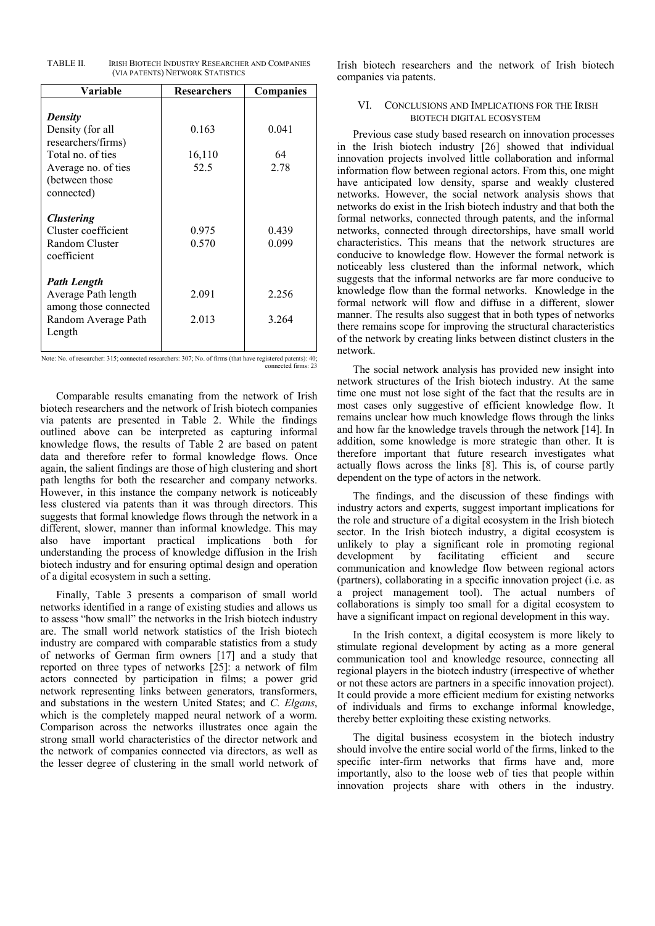| TABLE II. | <b>IRISH BIOTECH INDUSTRY RESEARCHER AND COMPANIES</b> |
|-----------|--------------------------------------------------------|
|           | (VIA PATENTS) NETWORK STATISTICS                       |

| Variable                                                                                            | <b>Researchers</b> | <b>Companies</b> |  |  |  |  |  |
|-----------------------------------------------------------------------------------------------------|--------------------|------------------|--|--|--|--|--|
| Density<br>Density (for all<br>researchers/firms)                                                   | 0.163              | 0.041            |  |  |  |  |  |
| Total no of ties                                                                                    | 16,110             | 64               |  |  |  |  |  |
| Average no. of ties<br>(between those<br>connected)                                                 | 52.5               | 2.78             |  |  |  |  |  |
| <i><b>Clustering</b></i><br>Cluster coefficient<br>Random Cluster<br>coefficient                    | 0.975<br>0.570     | 0.439<br>0.099   |  |  |  |  |  |
| <b>Path Length</b><br>Average Path length<br>among those connected<br>Random Average Path<br>Length | 2.091<br>2.013     | 2.256<br>3.264   |  |  |  |  |  |
|                                                                                                     |                    |                  |  |  |  |  |  |

Note: No. of researcher: 315; connected researchers: 307; No. of firms (that have registered patents): 40; connected firms: 23

Comparable results emanating from the network of Irish biotech researchers and the network of Irish biotech companies via patents are presented in Table 2. While the findings outlined above can be interpreted as capturing informal knowledge flows, the results of Table 2 are based on patent data and therefore refer to formal knowledge flows. Once again, the salient findings are those of high clustering and short path lengths for both the researcher and company networks. However, in this instance the company network is noticeably less clustered via patents than it was through directors. This suggests that formal knowledge flows through the network in a different, slower, manner than informal knowledge. This may also have important practical implications both for understanding the process of knowledge diffusion in the Irish biotech industry and for ensuring optimal design and operation of a digital ecosystem in such a setting.

Finally, Table 3 presents a comparison of small world networks identified in a range of existing studies and allows us to assess "how small" the networks in the Irish biotech industry are. The small world network statistics of the Irish biotech industry are compared with comparable statistics from a study of networks of German firm owners [17] and a study that reported on three types of networks [25]: a network of film actors connected by participation in films; a power grid network representing links between generators, transformers, and substations in the western United States; and *C. Elgans*, which is the completely mapped neural network of a worm. Comparison across the networks illustrates once again the strong small world characteristics of the director network and the network of companies connected via directors, as well as the lesser degree of clustering in the small world network of

Irish biotech researchers and the network of Irish biotech companies via patents.

#### VI. CONCLUSIONS AND IMPLICATIONS FOR THE IRISH BIOTECH DIGITAL ECOSYSTEM

Previous case study based research on innovation processes in the Irish biotech industry [26] showed that individual innovation projects involved little collaboration and informal information flow between regional actors. From this, one might have anticipated low density, sparse and weakly clustered networks. However, the social network analysis shows that networks do exist in the Irish biotech industry and that both the formal networks, connected through patents, and the informal networks, connected through directorships, have small world characteristics. This means that the network structures are conducive to knowledge flow. However the formal network is noticeably less clustered than the informal network, which suggests that the informal networks are far more conducive to knowledge flow than the formal networks. Knowledge in the formal network will flow and diffuse in a different, slower manner. The results also suggest that in both types of networks there remains scope for improving the structural characteristics of the network by creating links between distinct clusters in the network.

The social network analysis has provided new insight into network structures of the Irish biotech industry. At the same time one must not lose sight of the fact that the results are in most cases only suggestive of efficient knowledge flow. It remains unclear how much knowledge flows through the links and how far the knowledge travels through the network [14]. In addition, some knowledge is more strategic than other. It is therefore important that future research investigates what actually flows across the links [8]. This is, of course partly dependent on the type of actors in the network.

The findings, and the discussion of these findings with industry actors and experts, suggest important implications for the role and structure of a digital ecosystem in the Irish biotech sector. In the Irish biotech industry, a digital ecosystem is unlikely to play a significant role in promoting regional development by facilitating efficient and secure development by facilitating efficient communication and knowledge flow between regional actors (partners), collaborating in a specific innovation project (i.e. as a project management tool). The actual numbers of collaborations is simply too small for a digital ecosystem to have a significant impact on regional development in this way.

In the Irish context, a digital ecosystem is more likely to stimulate regional development by acting as a more general communication tool and knowledge resource, connecting all regional players in the biotech industry (irrespective of whether or not these actors are partners in a specific innovation project). It could provide a more efficient medium for existing networks of individuals and firms to exchange informal knowledge, thereby better exploiting these existing networks.

The digital business ecosystem in the biotech industry should involve the entire social world of the firms, linked to the specific inter-firm networks that firms have and, more importantly, also to the loose web of ties that people within innovation projects share with others in the industry.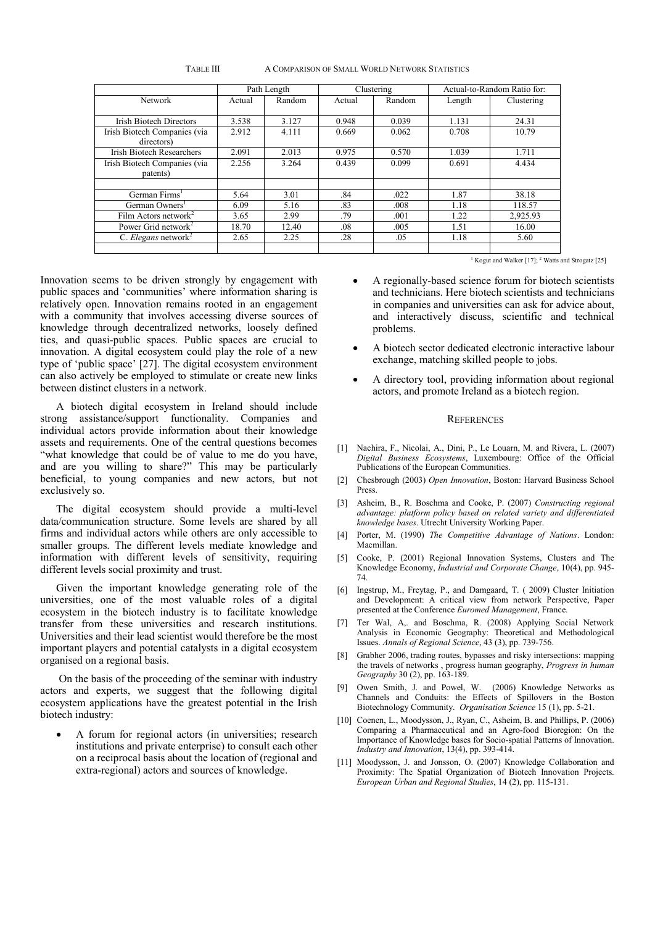|                                            |        | Path Length |        | Clustering |        | Actual-to-Random Ratio for: |
|--------------------------------------------|--------|-------------|--------|------------|--------|-----------------------------|
| Network                                    | Actual | Random      | Actual | Random     | Length | Clustering                  |
|                                            |        |             |        |            |        |                             |
| <b>Irish Biotech Directors</b>             | 3.538  | 3.127       | 0.948  | 0.039      | 1.131  | 24.31                       |
| Irish Biotech Companies (via<br>directors) | 2.912  | 4.111       | 0.669  | 0.062      | 0.708  | 10.79                       |
| Irish Biotech Researchers                  | 2.091  | 2.013       | 0.975  | 0.570      | 1.039  | 1.711                       |
| Irish Biotech Companies (via               | 2.256  | 3.264       | 0.439  | 0.099      | 0.691  | 4.434                       |
| patents)                                   |        |             |        |            |        |                             |
|                                            |        |             |        |            |        |                             |
| German Firms <sup>1</sup>                  | 5.64   | 3.01        | .84    | .022       | 1.87   | 38.18                       |
| German Owners <sup>1</sup>                 | 6.09   | 5.16        | .83    | .008       | 1.18   | 118.57                      |
| Film Actors network <sup>2</sup>           | 3.65   | 2.99        | .79    | .001       | 1.22   | 2,925.93                    |
| Power Grid network <sup>2</sup>            | 18.70  | 12.40       | .08    | .005       | 1.51   | 16.00                       |
| C. Elegans network <sup>2</sup>            | 2.65   | 2.25        | .28    | .05        | 1.18   | 5.60                        |
|                                            |        |             |        |            |        |                             |

TABLE III **A COMPARISON OF SMALL WORLD NETWORK STATISTICS** 

<sup>1</sup> Kogut and Walker [17]; <sup>2</sup> Watts and Strogatz [25]

Innovation seems to be driven strongly by engagement with public spaces and 'communities' where information sharing is relatively open. Innovation remains rooted in an engagement with a community that involves accessing diverse sources of knowledge through decentralized networks, loosely defined ties, and quasi-public spaces. Public spaces are crucial to innovation. A digital ecosystem could play the role of a new type of 'public space' [27]. The digital ecosystem environment can also actively be employed to stimulate or create new links between distinct clusters in a network.

A biotech digital ecosystem in Ireland should include strong assistance/support functionality. Companies and individual actors provide information about their knowledge assets and requirements. One of the central questions becomes "what knowledge that could be of value to me do you have, and are you willing to share?" This may be particularly beneficial, to young companies and new actors, but not exclusively so.

The digital ecosystem should provide a multi-level data/communication structure. Some levels are shared by all firms and individual actors while others are only accessible to smaller groups. The different levels mediate knowledge and information with different levels of sensitivity, requiring different levels social proximity and trust.

Given the important knowledge generating role of the universities, one of the most valuable roles of a digital ecosystem in the biotech industry is to facilitate knowledge transfer from these universities and research institutions. Universities and their lead scientist would therefore be the most important players and potential catalysts in a digital ecosystem organised on a regional basis.

On the basis of the proceeding of the seminar with industry actors and experts, we suggest that the following digital ecosystem applications have the greatest potential in the Irish biotech industry:

• A forum for regional actors (in universities; research institutions and private enterprise) to consult each other on a reciprocal basis about the location of (regional and extra-regional) actors and sources of knowledge.

- A regionally-based science forum for biotech scientists and technicians. Here biotech scientists and technicians in companies and universities can ask for advice about, and interactively discuss, scientific and technical problems.
- A biotech sector dedicated electronic interactive labour exchange, matching skilled people to jobs.
- A directory tool, providing information about regional actors, and promote Ireland as a biotech region.

#### **REFERENCES**

- [1] Nachira, F., Nicolai, A., Dini, P., Le Louarn, M. and Rivera, L. (2007) *Digital Business Ecosystems*, Luxembourg: Office of the Official Publications of the European Communities.
- [2] Chesbrough (2003) *Open Innovation*, Boston: Harvard Business School Press.
- [3] Asheim, B., R. Boschma and Cooke, P. (2007) *Constructing regional advantage: platform policy based on related variety and differentiated knowledge bases*. Utrecht University Working Paper.
- [4] Porter, M. (1990) *The Competitive Advantage of Nations*. London: Macmillan.
- [5] Cooke, P. (2001) Regional Innovation Systems, Clusters and The Knowledge Economy, *Industrial and Corporate Change*, 10(4), pp. 945- 74.
- [6] Ingstrup, M., Freytag, P., and Damgaard, T. ( 2009) Cluster Initiation and Development: A critical view from network Perspective, Paper presented at the Conference *Euromed Management*, France.
- [7] Ter Wal, A,. and Boschma, R. (2008) Applying Social Network Analysis in Economic Geography: Theoretical and Methodological Issues. *Annals of Regional Science*, 43 (3), pp. 739-756.
- [8] Grabher 2006, trading routes, bypasses and risky intersections: mapping the travels of networks , progress human geography, *Progress in human Geography* 30 (2), pp. 163-189.
- [9] Owen Smith, J. and Powel, W. (2006) Knowledge Networks as Channels and Conduits: the Effects of Spillovers in the Boston Biotechnology Community. *Organisation Science* 15 (1), pp. 5-21.
- [10] Coenen, L., Moodysson, J., Ryan, C., Asheim, B. and Phillips, P. (2006) Comparing a Pharmaceutical and an Agro-food Bioregion: On the Importance of Knowledge bases for Socio-spatial Patterns of Innovation. *Industry and Innovation*, 13(4), pp. 393-414.
- [11] Moodysson, J. and Jonsson, O. (2007) Knowledge Collaboration and Proximity: The Spatial Organization of Biotech Innovation Projects. *European Urban and Regional Studies*, 14 (2), pp. 115-131.